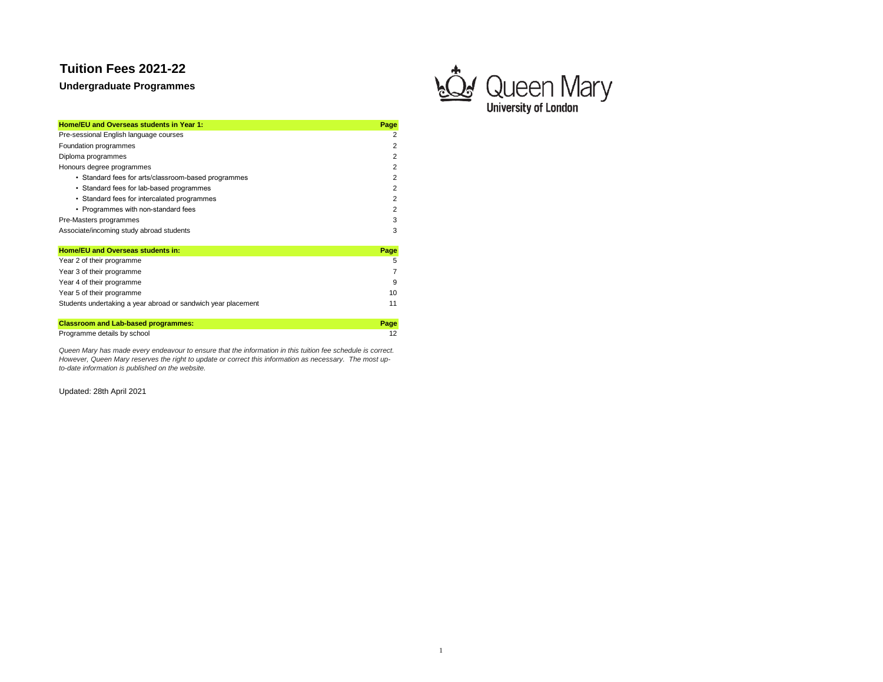**Undergraduate Programmes**



| Home/EU and Overseas students in Year 1:            | Page |
|-----------------------------------------------------|------|
| Pre-sessional English language courses              |      |
| Foundation programmes                               | 2    |
| Diploma programmes                                  | 2    |
| Honours degree programmes                           | 2    |
| • Standard fees for arts/classroom-based programmes | 2    |
| • Standard fees for lab-based programmes            | 2    |
| • Standard fees for intercalated programmes         | 2    |
| • Programmes with non-standard fees                 |      |
| Pre-Masters programmes                              | 3    |
| Associate/incoming study abroad students            | з    |
| <b>Home/EU and Overseas students in:</b>            | Page |
| Year 2 of their programme                           | 5    |

| <b>Classroom and Lab-based programmes:</b>                    | Page |
|---------------------------------------------------------------|------|
| Students undertaking a year abroad or sandwich year placement | 11   |
| Year 5 of their programme                                     | 10   |
| Year 4 of their programme                                     | ٩    |
| Year 3 of their programme                                     | 7    |
| <b>Tear 2 of their programme</b>                              |      |

Programme details by school 12

*Queen Mary has made every endeavour to ensure that the information in this tuition fee schedule is correct. However, Queen Mary reserves the right to update or correct this information as necessary. The most upto-date information is published on the website.*

Updated: 28th April 2021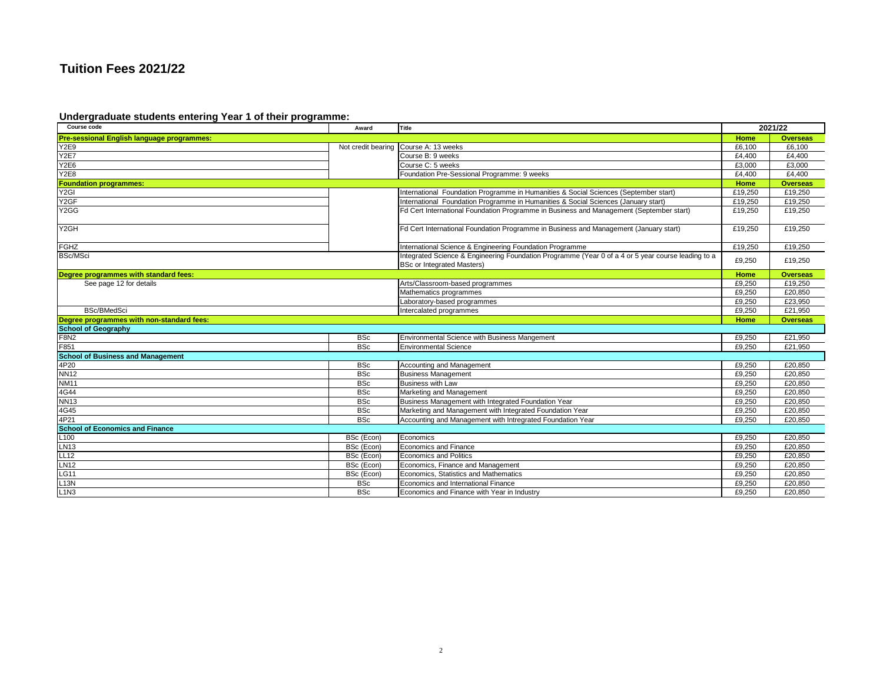### **Undergraduate students entering Year 1 of their programme:**

| Course code                                | Award              | Title                                                                                              |         | 2021/22         |
|--------------------------------------------|--------------------|----------------------------------------------------------------------------------------------------|---------|-----------------|
| Pre-sessional English language programmes: |                    |                                                                                                    | Home    | <b>Overseas</b> |
| Y2E9                                       | Not credit bearing | Course A: 13 weeks                                                                                 | £6,100  | £6,100          |
| <b>Y2E7</b>                                |                    | Course B: 9 weeks                                                                                  | £4,400  | £4,400          |
| Y2E6                                       |                    | Course C: 5 weeks                                                                                  | £3,000  | £3,000          |
| Y <sub>2</sub> E <sub>8</sub>              |                    | Foundation Pre-Sessional Programme: 9 weeks                                                        | £4,400  | £4,400          |
| <b>Foundation programmes:</b>              |                    |                                                                                                    | Home    | <b>Overseas</b> |
| Y <sub>2</sub> GI                          |                    | International Foundation Programme in Humanities & Social Sciences (September start)               | £19,250 | £19,250         |
| Y <sub>2</sub> GF                          |                    | International Foundation Programme in Humanities & Social Sciences (January start)                 | £19.250 | £19.250         |
| Y <sub>2</sub> GG                          |                    | Fd Cert International Foundation Programme in Business and Management (September start)            | £19,250 | £19,250         |
|                                            |                    |                                                                                                    |         |                 |
| Y2GH                                       |                    | Fd Cert International Foundation Programme in Business and Management (January start)              | £19,250 | £19,250         |
|                                            |                    |                                                                                                    |         |                 |
| <b>FGHZ</b>                                |                    | International Science & Engineering Foundation Programme                                           | £19,250 | £19,250         |
| <b>BSc/MSci</b>                            |                    | Integrated Science & Engineering Foundation Programme (Year 0 of a 4 or 5 year course leading to a |         |                 |
|                                            |                    | <b>BSc or Integrated Masters)</b>                                                                  | £9,250  | £19,250         |
| Degree programmes with standard fees:      |                    |                                                                                                    | Home    | <b>Overseas</b> |
| See page 12 for details                    |                    | Arts/Classroom-based programmes                                                                    | £9,250  | £19,250         |
|                                            |                    | Mathematics programmes                                                                             | £9,250  | £20,850         |
|                                            |                    | Laboratory-based programmes                                                                        | £9,250  | £23,950         |
| <b>BSc/BMedSci</b>                         |                    | Intercalated programmes                                                                            | £9,250  | £21.950         |
| Degree programmes with non-standard fees:  |                    |                                                                                                    | Home    | <b>Overseas</b> |
| <b>School of Geography</b>                 |                    |                                                                                                    |         |                 |
| <b>F8N2</b>                                | <b>BSc</b>         | Environmental Science with Business Mangement                                                      | £9,250  | £21,950         |
| F851                                       | <b>BSc</b>         | <b>Environmental Science</b>                                                                       | £9.250  | £21.950         |
| <b>School of Business and Management</b>   |                    |                                                                                                    |         |                 |
| 4P20                                       | <b>BSc</b>         | Accounting and Management                                                                          | £9,250  | £20.850         |
| <b>NN12</b>                                | <b>BSc</b>         | <b>Business Management</b>                                                                         | £9,250  | £20,850         |
| <b>NM11</b>                                | <b>BSc</b>         | <b>Business with Law</b>                                                                           | £9,250  | £20,850         |
| 4G44                                       | <b>BSc</b>         | Marketing and Management                                                                           | £9.250  | £20.850         |
| <b>NN13</b>                                | <b>BSc</b>         | Business Management with Integrated Foundation Year                                                | £9,250  | £20.850         |
| 4G45                                       | <b>BSc</b>         | Marketing and Management with Integrated Foundation Year                                           | £9,250  | £20.850         |
| 4P21                                       | <b>BSc</b>         | Accounting and Management with Intregrated Foundation Year                                         | £9,250  | £20,850         |
| <b>School of Economics and Finance</b>     |                    |                                                                                                    |         |                 |
| L100                                       | BSc (Econ)         | Economics                                                                                          | £9.250  | £20.850         |
| <b>LN13</b>                                | BSc (Econ)         | <b>Economics and Finance</b>                                                                       | £9,250  | £20,850         |
| <b>LL12</b>                                | BSc (Econ)         | Economics and Politics                                                                             | £9,250  | £20.850         |
| <b>LN12</b>                                | BSc (Econ)         | Economics, Finance and Management                                                                  | £9,250  | £20,850         |
| LG11                                       | BSc (Econ)         | Economics, Statistics and Mathematics                                                              | £9,250  | £20,850         |
| L13N                                       | <b>BSc</b>         | Economics and International Finance                                                                | £9,250  | £20,850         |
| L1N3                                       | <b>BSc</b>         | Economics and Finance with Year in Industry                                                        | £9,250  | £20,850         |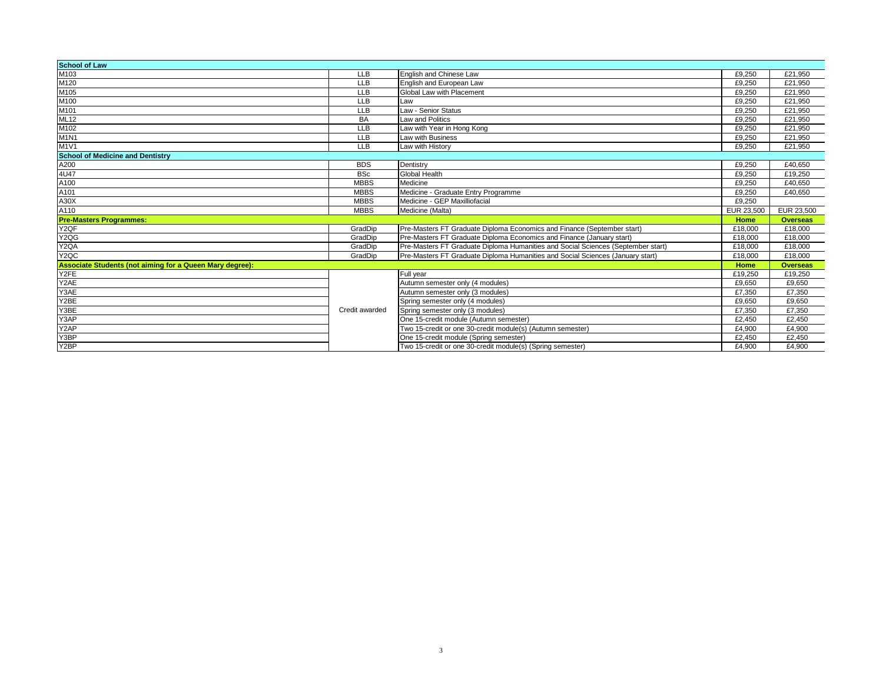| <b>School of Law</b>                                     |                |                                                                                  |            |                 |
|----------------------------------------------------------|----------------|----------------------------------------------------------------------------------|------------|-----------------|
| M103                                                     | <b>LLB</b>     | English and Chinese Law                                                          | £9.250     | £21.950         |
| M120                                                     | <b>LLB</b>     | English and European Law                                                         | £9.250     | £21.950         |
| M105                                                     | <b>LLB</b>     | Global Law with Placement                                                        | £9.250     | £21.950         |
| M100                                                     | <b>LLB</b>     | Law                                                                              | £9.250     | £21.950         |
| M101                                                     | <b>LLB</b>     | Law - Senior Status                                                              | £9.250     | £21.950         |
| ML <sub>12</sub>                                         | <b>BA</b>      | Law and Politics                                                                 | £9,250     | £21,950         |
| M102                                                     | <b>LLB</b>     | Law with Year in Hong Kong                                                       | £9,250     | £21,950         |
| <b>M1N1</b>                                              | <b>LLB</b>     | Law with Business                                                                | £9,250     | £21,950         |
| M1V1                                                     | <b>LLB</b>     | Law with History                                                                 | £9,250     | £21,950         |
| <b>School of Medicine and Dentistry</b>                  |                |                                                                                  |            |                 |
| A200                                                     | <b>BDS</b>     | Dentistry                                                                        | £9,250     | £40,650         |
| 4U47                                                     | <b>BSc</b>     | <b>Global Health</b>                                                             | £9,250     | £19.250         |
| A100                                                     | <b>MBBS</b>    | Medicine                                                                         | £9.250     | £40.650         |
| A101                                                     | <b>MBBS</b>    | Medicine - Graduate Entry Programme                                              | £9,250     | £40,650         |
| A30X                                                     | <b>MBBS</b>    | Medicine - GEP Maxilliofacial                                                    | £9,250     |                 |
|                                                          |                |                                                                                  |            |                 |
| A110                                                     | <b>MBBS</b>    | Medicine (Malta)                                                                 | EUR 23,500 | EUR 23,500      |
| <b>Pre-Masters Programmes:</b>                           |                |                                                                                  | Home       | <b>Overseas</b> |
| Y <sub>2</sub> QF                                        | GradDip        | Pre-Masters FT Graduate Diploma Economics and Finance (September start)          | £18,000    | £18,000         |
| Y <sub>2</sub> QG                                        | GradDip        | Pre-Masters FT Graduate Diploma Economics and Finance (January start)            | £18,000    | £18,000         |
| Y2QA                                                     | GradDip        | Pre-Masters FT Graduate Diploma Humanities and Social Sciences (September start) | £18,000    | £18,000         |
| Y <sub>2</sub> QC                                        | GradDip        | Pre-Masters FT Graduate Diploma Humanities and Social Sciences (January start)   | £18,000    | £18,000         |
| Associate Students (not aiming for a Queen Mary degree): |                |                                                                                  | Home       | <b>Overseas</b> |
| Y2FE                                                     |                | Full vear                                                                        | £19,250    | £19,250         |
| Y2AE                                                     |                | Autumn semester only (4 modules)                                                 | £9,650     | £9,650          |
| Y3AE                                                     |                | Autumn semester only (3 modules)                                                 | £7,350     | £7,350          |
| Y2BE                                                     |                | Spring semester only (4 modules)                                                 | £9.650     | £9,650          |
| Y3BE                                                     | Credit awarded | Spring semester only (3 modules)                                                 | £7,350     | £7,350          |
| Y3AP                                                     |                | One 15-credit module (Autumn semester)                                           | £2,450     | £2,450          |
| Y2AP                                                     |                | Two 15-credit or one 30-credit module(s) (Autumn semester)                       | £4.900     | £4.900          |
| Y3BP<br>Y <sub>2</sub> BP                                |                | One 15-credit module (Spring semester)                                           | £2.450     | £2.450          |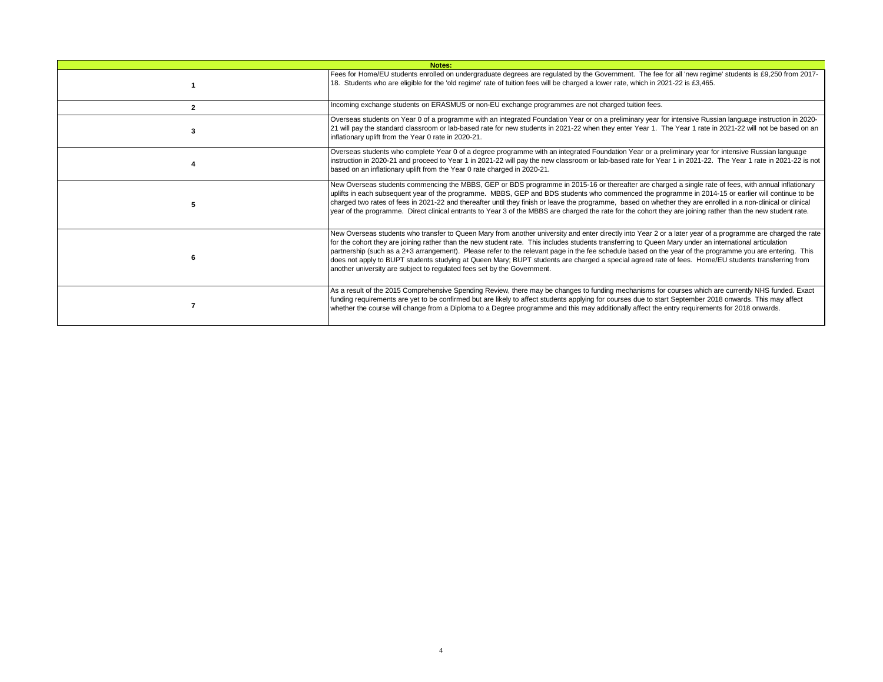| Notes: |                                                                                                                                                                                                                                                                                                                                                                                                                                                                                                                                                                                                                                                                                                                      |  |  |  |  |
|--------|----------------------------------------------------------------------------------------------------------------------------------------------------------------------------------------------------------------------------------------------------------------------------------------------------------------------------------------------------------------------------------------------------------------------------------------------------------------------------------------------------------------------------------------------------------------------------------------------------------------------------------------------------------------------------------------------------------------------|--|--|--|--|
|        | Fees for Home/EU students enrolled on undergraduate degrees are regulated by the Government. The fee for all 'new regime' students is £9,250 from 2017-<br>18. Students who are eligible for the 'old regime' rate of tuition fees will be charged a lower rate, which in 2021-22 is £3,465.                                                                                                                                                                                                                                                                                                                                                                                                                         |  |  |  |  |
|        | Incoming exchange students on ERASMUS or non-EU exchange programmes are not charged tuition fees.                                                                                                                                                                                                                                                                                                                                                                                                                                                                                                                                                                                                                    |  |  |  |  |
|        | Overseas students on Year 0 of a programme with an integrated Foundation Year or on a preliminary year for intensive Russian language instruction in 2020-<br>21 will pay the standard classroom or lab-based rate for new students in 2021-22 when they enter Year 1. The Year 1 rate in 2021-22 will not be based on an<br>inflationary uplift from the Year 0 rate in 2020-21.                                                                                                                                                                                                                                                                                                                                    |  |  |  |  |
|        | Overseas students who complete Year 0 of a degree programme with an integrated Foundation Year or a preliminary year for intensive Russian language<br>instruction in 2020-21 and proceed to Year 1 in 2021-22 will pay the new classroom or lab-based rate for Year 1 in 2021-22. The Year 1 rate in 2021-22 is not<br>based on an inflationary uplift from the Year 0 rate charged in 2020-21.                                                                                                                                                                                                                                                                                                                     |  |  |  |  |
|        | New Overseas students commencing the MBBS, GEP or BDS programme in 2015-16 or thereafter are charged a single rate of fees, with annual inflationary<br>uplifts in each subsequent year of the programme. MBBS, GEP and BDS students who commenced the programme in 2014-15 or earlier will continue to be<br>charged two rates of fees in 2021-22 and thereafter until they finish or leave the programme, based on whether they are enrolled in a non-clinical or clinical<br>year of the programme. Direct clinical entrants to Year 3 of the MBBS are charged the rate for the cohort they are joining rather than the new student rate.                                                                         |  |  |  |  |
|        | New Overseas students who transfer to Queen Mary from another university and enter directly into Year 2 or a later year of a programme are charged the rate<br>for the cohort they are joining rather than the new student rate. This includes students transferring to Queen Mary under an international articulation<br>partnership (such as a 2+3 arrangement). Please refer to the relevant page in the fee schedule based on the year of the programme you are entering. This<br>does not apply to BUPT students studying at Queen Mary; BUPT students are charged a special agreed rate of fees. Home/EU students transferring from<br>another university are subject to regulated fees set by the Government. |  |  |  |  |
|        | As a result of the 2015 Comprehensive Spending Review, there may be changes to funding mechanisms for courses which are currently NHS funded. Exact<br>funding requirements are yet to be confirmed but are likely to affect students applying for courses due to start September 2018 onwards. This may affect<br>whether the course will change from a Diploma to a Degree programme and this may additionally affect the entry requirements for 2018 onwards.                                                                                                                                                                                                                                                     |  |  |  |  |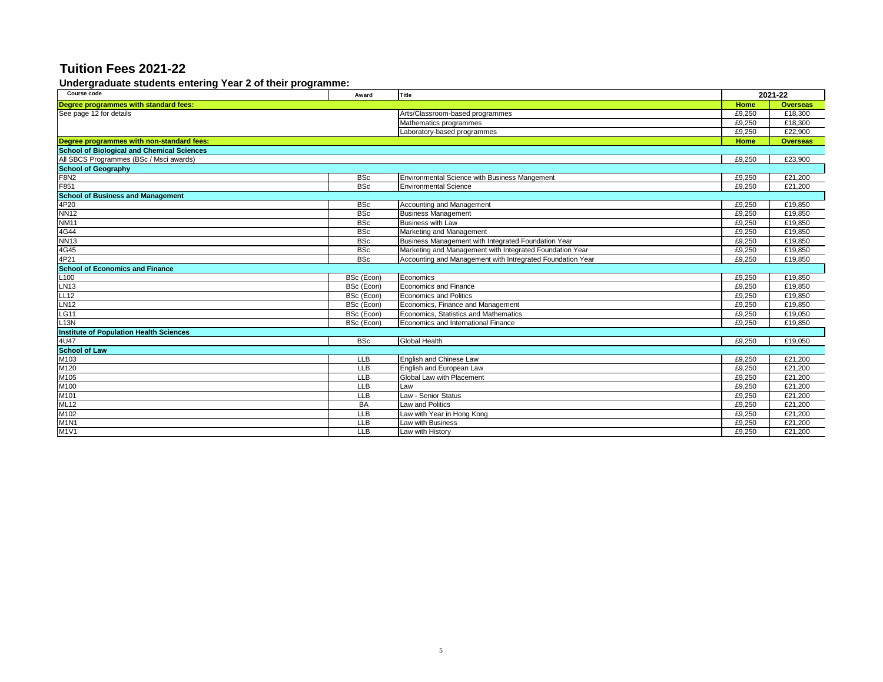#### **Undergraduate students entering Year 2 of their programme:**

| Course code                                       | Award      | Title                                                      |                 | 2021-22         |
|---------------------------------------------------|------------|------------------------------------------------------------|-----------------|-----------------|
| Degree programmes with standard fees:             |            | Home                                                       | <b>Overseas</b> |                 |
| See page 12 for details                           |            | Arts/Classroom-based programmes                            | £9,250          | £18,300         |
|                                                   |            | Mathematics programmes                                     | £9,250          | £18,300         |
|                                                   |            | Laboratory-based programmes                                | £9,250          | £22,900         |
| Degree programmes with non-standard fees:         |            |                                                            | Home            | <b>Overseas</b> |
| <b>School of Biological and Chemical Sciences</b> |            |                                                            |                 |                 |
| All SBCS Programmes (BSc / Msci awards)           |            |                                                            | £9,250          | £23,900         |
| <b>School of Geography</b>                        |            |                                                            |                 |                 |
| <b>F8N2</b>                                       | <b>BSc</b> | Environmental Science with Business Mangement              | £9,250          | £21,200         |
| F851                                              | <b>BSc</b> | <b>Environmental Science</b>                               | £9,250          | £21,200         |
| <b>School of Business and Management</b>          |            |                                                            |                 |                 |
| 4P20                                              | <b>BSc</b> | Accounting and Management                                  | £9,250          | £19,850         |
| <b>NN12</b>                                       | <b>BSc</b> | <b>Business Management</b>                                 | £9,250          | £19,850         |
| <b>NM11</b>                                       | <b>BSc</b> | <b>Business with Law</b>                                   | £9,250          | £19,850         |
| 4G44                                              | <b>BSc</b> | Marketing and Management                                   | £9,250          | £19,850         |
| <b>NN13</b>                                       | <b>BSc</b> | Business Management with Integrated Foundation Year        | £9,250          | £19,850         |
| 4G45                                              | <b>BSc</b> | Marketing and Management with Integrated Foundation Year   | £9,250          | £19,850         |
| 4P21                                              | <b>BSc</b> | Accounting and Management with Intregrated Foundation Year | £9.250          | £19,850         |
| <b>School of Economics and Finance</b>            |            |                                                            |                 |                 |
| L100                                              | BSc (Econ) | Economics                                                  | £9,250          | £19,850         |
| <b>LN13</b>                                       | BSc (Econ) | <b>Economics and Finance</b>                               | £9,250          | £19,850         |
| LL12                                              | BSc (Econ) | <b>Economics and Politics</b>                              | £9,250          | £19,850         |
| <b>LN12</b>                                       | BSc (Econ) | Economics, Finance and Management                          | £9,250          | £19,850         |
| <b>LG11</b>                                       | BSc (Econ) | Economics, Statistics and Mathematics                      | £9,250          | £19,050         |
| L13N                                              | BSc (Econ) | Economics and International Finance                        | £9,250          | £19,850         |
| <b>Institute of Population Health Sciences</b>    |            |                                                            |                 |                 |
| 4U47                                              | <b>BSc</b> | Global Health                                              | £9,250          | £19,050         |
| <b>School of Law</b>                              |            |                                                            |                 |                 |
| M103                                              | <b>LLB</b> | English and Chinese Law                                    | £9,250          | £21,200         |
| M120                                              | <b>LLB</b> | English and European Law                                   | £9,250          | £21,200         |
| M105                                              | <b>LLB</b> | Global Law with Placement                                  | £9,250          | £21,200         |
| M100                                              | <b>LLB</b> | Law                                                        | £9,250          | £21,200         |
| M101                                              | <b>LLB</b> | Law - Senior Status                                        | £9.250          | £21,200         |
| <b>ML12</b>                                       | <b>BA</b>  | Law and Politics                                           | £9,250          | £21,200         |
| M102                                              | <b>LLB</b> | Law with Year in Hong Kong                                 | £9,250          | £21,200         |
| M <sub>1</sub> N <sub>1</sub>                     | <b>LLB</b> | Law with Business                                          | £9,250          | £21,200         |
| M1V1                                              | <b>LLB</b> | Law with History                                           | £9,250          | £21,200         |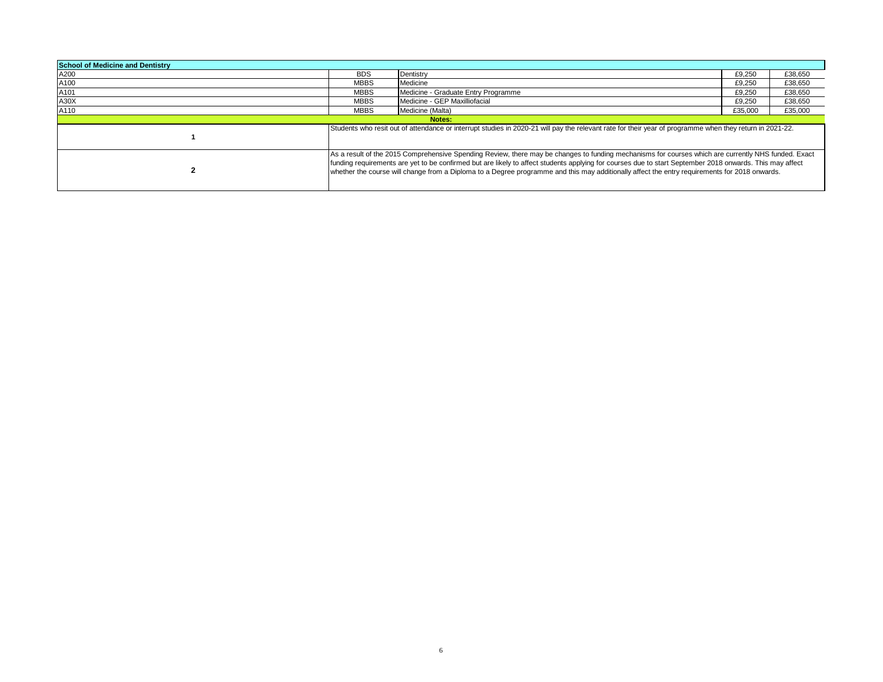| <b>School of Medicine and Dentistry</b> |             |                                                                                                                                                                                                                                                                                                                                                                                                                                                                  |         |         |  |  |
|-----------------------------------------|-------------|------------------------------------------------------------------------------------------------------------------------------------------------------------------------------------------------------------------------------------------------------------------------------------------------------------------------------------------------------------------------------------------------------------------------------------------------------------------|---------|---------|--|--|
| A200                                    | <b>BDS</b>  | Dentistry                                                                                                                                                                                                                                                                                                                                                                                                                                                        | £9,250  | £38,650 |  |  |
| A100                                    | <b>MBBS</b> | Medicine                                                                                                                                                                                                                                                                                                                                                                                                                                                         | £9,250  | £38,650 |  |  |
| A101                                    | <b>MBBS</b> | Medicine - Graduate Entry Programme                                                                                                                                                                                                                                                                                                                                                                                                                              | £9,250  | £38,650 |  |  |
| A30X                                    | <b>MBBS</b> | Medicine - GEP Maxilliofacial                                                                                                                                                                                                                                                                                                                                                                                                                                    | £9.250  | £38,650 |  |  |
| A110                                    | <b>MBBS</b> | Medicine (Malta)                                                                                                                                                                                                                                                                                                                                                                                                                                                 | £35,000 | £35.000 |  |  |
|                                         | Notes:      |                                                                                                                                                                                                                                                                                                                                                                                                                                                                  |         |         |  |  |
|                                         |             | Students who resit out of attendance or interrupt studies in 2020-21 will pay the relevant rate for their year of programme when they return in 2021-22.                                                                                                                                                                                                                                                                                                         |         |         |  |  |
|                                         |             | As a result of the 2015 Comprehensive Spending Review, there may be changes to funding mechanisms for courses which are currently NHS funded. Exact<br>funding requirements are yet to be confirmed but are likely to affect students applying for courses due to start September 2018 onwards. This may affect<br>whether the course will change from a Diploma to a Degree programme and this may additionally affect the entry requirements for 2018 onwards. |         |         |  |  |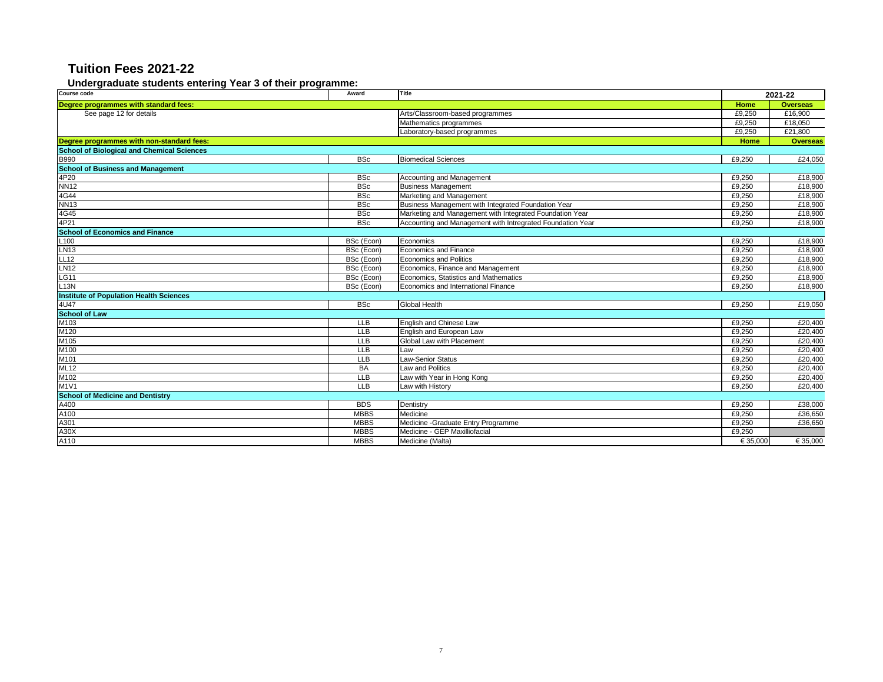#### **Undergraduate students entering Year 3 of their programme:**

| Course code                                       | Award       | Title                                                      |          | 2021-22         |
|---------------------------------------------------|-------------|------------------------------------------------------------|----------|-----------------|
| Degree programmes with standard fees:             |             |                                                            | Home     | <b>Overseas</b> |
| See page 12 for details                           |             | Arts/Classroom-based programmes                            | £9,250   | £16,900         |
|                                                   |             | Mathematics programmes                                     | £9.250   | £18.050         |
|                                                   |             | Laboratory-based programmes                                | £9,250   | £21,800         |
| Degree programmes with non-standard fees:         |             |                                                            | Home     | <b>Overseas</b> |
| <b>School of Biological and Chemical Sciences</b> |             |                                                            |          |                 |
| B990<br>School of Business and Management         | <b>BSc</b>  | <b>Biomedical Sciences</b>                                 | £9,250   | £24,050         |
|                                                   |             |                                                            |          |                 |
| 4P20                                              | <b>BSc</b>  | Accounting and Management                                  | £9,250   | £18,900         |
| <b>NN12</b>                                       | <b>BSc</b>  | <b>Business Management</b>                                 | £9,250   | £18,900         |
| 4G44                                              | <b>BSc</b>  | Marketing and Management                                   | £9,250   | £18,900         |
| <b>NN13</b>                                       | <b>BSc</b>  | Business Management with Integrated Foundation Year        | £9,250   | £18,900         |
| 4G45                                              | <b>BSc</b>  | Marketing and Management with Integrated Foundation Year   | £9,250   | £18,900         |
| 4P21                                              | <b>BSc</b>  | Accounting and Management with Intregrated Foundation Year | £9,250   | £18,900         |
| <b>School of Economics and Finance</b>            |             |                                                            |          |                 |
| L <sub>100</sub>                                  | BSc (Econ)  | Economics                                                  | £9,250   | £18,900         |
| <b>LN13</b>                                       | BSc (Econ)  | <b>Economics and Finance</b>                               | £9,250   | £18,900         |
| LL12                                              | BSc (Econ)  | <b>Economics and Politics</b>                              | £9,250   | £18,900         |
| <b>LN12</b>                                       | BSc (Econ)  | Economics, Finance and Management                          | £9,250   | £18,900         |
| <b>LG11</b>                                       | BSc (Econ)  | Economics. Statistics and Mathematics                      | £9,250   | £18,900         |
| L13N                                              | BSc (Econ)  | Economics and International Finance                        | £9,250   | £18,900         |
| <b>Institute of Population Health Sciences</b>    |             |                                                            |          |                 |
| 4U47                                              | <b>BSc</b>  | Global Health                                              | £9,250   | £19,050         |
| <b>School of Law</b>                              |             |                                                            |          |                 |
| M103                                              | <b>LLB</b>  | English and Chinese Law                                    | £9,250   | £20,400         |
| M120                                              | LLB         | English and European Law                                   | £9,250   | £20,400         |
| M105                                              | <b>LLB</b>  | Global Law with Placement                                  | £9,250   | £20,400         |
| M100                                              | <b>LLB</b>  | Law                                                        | £9,250   | £20,400         |
| M101                                              | LLB         | <b>Law-Senior Status</b>                                   | £9,250   | £20,400         |
| ML12                                              | <b>BA</b>   | Law and Politics                                           | £9,250   | £20,400         |
| M102                                              | <b>LLB</b>  | Law with Year in Hong Kong                                 | £9,250   | £20,400         |
| M1V1                                              | <b>LLB</b>  | Law with History                                           | £9,250   | £20,400         |
| <b>School of Medicine and Dentistry</b>           |             |                                                            |          |                 |
| A400                                              | <b>BDS</b>  | Dentistry                                                  | £9,250   | £38,000         |
| A100                                              | <b>MBBS</b> | Medicine                                                   | £9,250   | £36,650         |
| A301                                              | <b>MBBS</b> | Medicine - Graduate Entry Programme                        | £9,250   | £36,650         |
| A30X                                              | <b>MBBS</b> | Medicine - GEP Maxilliofacial                              | £9,250   |                 |
| A110                                              | <b>MBBS</b> | Medicine (Malta)                                           | € 35.000 | € 35,000        |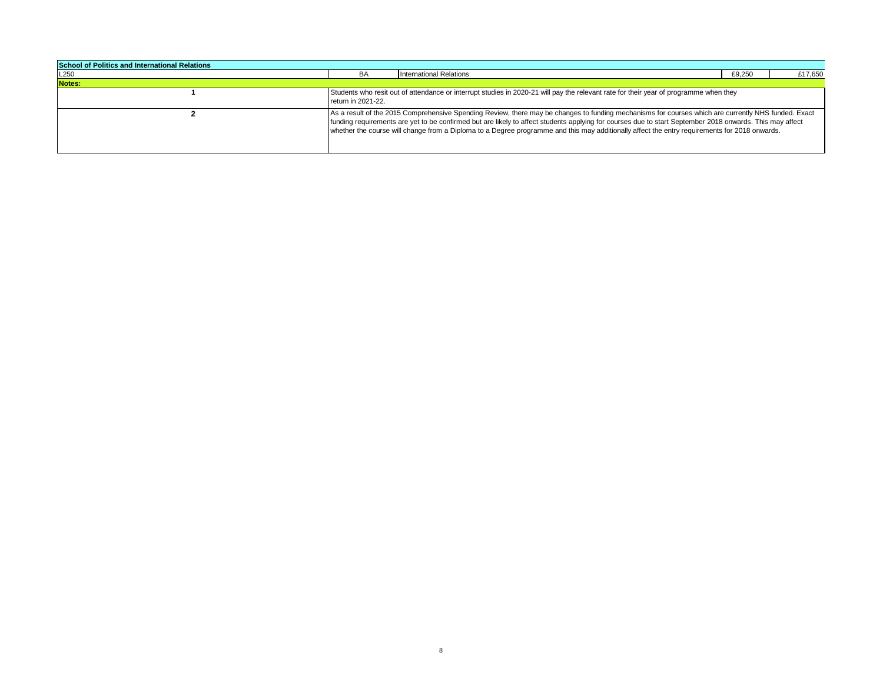| <b>School of Politics and International Relations</b> |                    |                                                                                                                                                                                                                                                                                                                                                                                                                                                                  |        |         |
|-------------------------------------------------------|--------------------|------------------------------------------------------------------------------------------------------------------------------------------------------------------------------------------------------------------------------------------------------------------------------------------------------------------------------------------------------------------------------------------------------------------------------------------------------------------|--------|---------|
| L <sub>250</sub>                                      | BA                 | <b>International Relations</b>                                                                                                                                                                                                                                                                                                                                                                                                                                   | £9,250 | £17,650 |
| Notes:                                                |                    |                                                                                                                                                                                                                                                                                                                                                                                                                                                                  |        |         |
|                                                       | return in 2021-22. | Students who resit out of attendance or interrupt studies in 2020-21 will pay the relevant rate for their year of programme when they                                                                                                                                                                                                                                                                                                                            |        |         |
|                                                       |                    | As a result of the 2015 Comprehensive Spending Review, there may be changes to funding mechanisms for courses which are currently NHS funded. Exact<br>funding requirements are yet to be confirmed but are likely to affect students applying for courses due to start September 2018 onwards. This may affect<br>whether the course will change from a Diploma to a Degree programme and this may additionally affect the entry requirements for 2018 onwards. |        |         |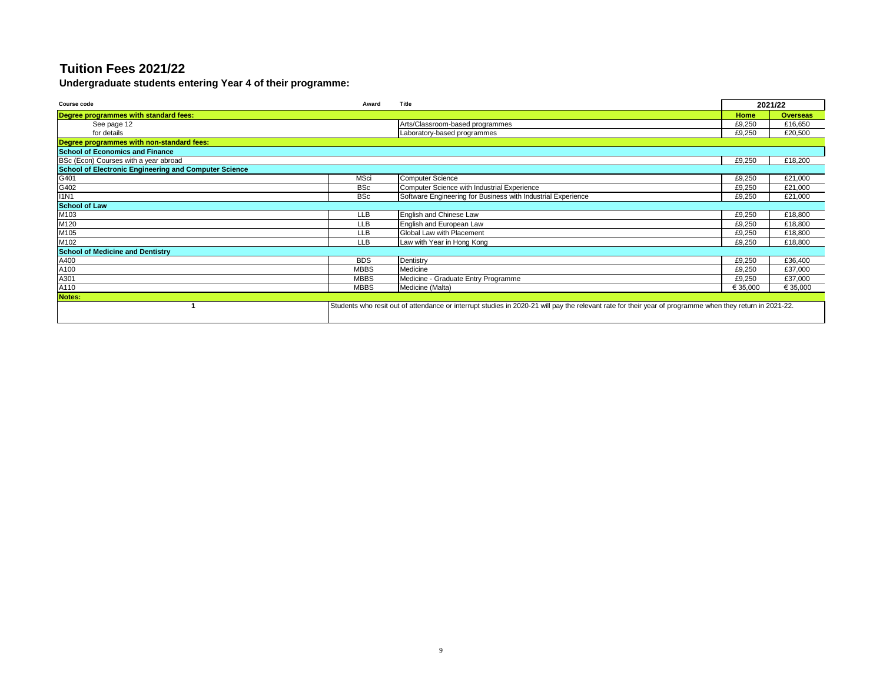**Undergraduate students entering Year 4 of their programme:**

| <b>Course code</b>                                    | Award       | Title                                                                                                                                                    |          | 2021/22         |
|-------------------------------------------------------|-------------|----------------------------------------------------------------------------------------------------------------------------------------------------------|----------|-----------------|
| Degree programmes with standard fees:                 |             |                                                                                                                                                          | Home     | <b>Overseas</b> |
| See page 12                                           |             | Arts/Classroom-based programmes                                                                                                                          | £9,250   | £16,650         |
| for details                                           |             | Laboratory-based programmes                                                                                                                              | £9,250   | £20,500         |
| Degree programmes with non-standard fees:             |             |                                                                                                                                                          |          |                 |
| <b>School of Economics and Finance</b>                |             |                                                                                                                                                          |          |                 |
| BSc (Econ) Courses with a year abroad                 |             |                                                                                                                                                          | £9,250   | £18,200         |
| School of Electronic Engineering and Computer Science |             |                                                                                                                                                          |          |                 |
| G401                                                  | <b>MSci</b> | <b>Computer Science</b>                                                                                                                                  | £9,250   | £21,000         |
| G402                                                  | <b>BSc</b>  | Computer Science with Industrial Experience                                                                                                              | £9,250   | £21,000         |
| <b>I1N1</b>                                           | <b>BSc</b>  | Software Engineering for Business with Industrial Experience                                                                                             | £9,250   | £21,000         |
| <b>School of Law</b>                                  |             |                                                                                                                                                          |          |                 |
| M103                                                  | <b>LLB</b>  | English and Chinese Law                                                                                                                                  | £9,250   | £18,800         |
| M120                                                  | <b>LLB</b>  | English and European Law                                                                                                                                 | £9,250   | £18,800         |
| M105                                                  | <b>LLB</b>  | Global Law with Placement                                                                                                                                | £9,250   | £18,800         |
| M102                                                  | <b>LLB</b>  | Law with Year in Hong Kong                                                                                                                               | £9,250   | £18,800         |
| <b>School of Medicine and Dentistry</b>               |             |                                                                                                                                                          |          |                 |
| A400                                                  | <b>BDS</b>  | Dentistry                                                                                                                                                | £9,250   | £36,400         |
| A100                                                  | <b>MBBS</b> | Medicine                                                                                                                                                 | £9,250   | £37,000         |
| A301                                                  | <b>MBBS</b> | Medicine - Graduate Entry Programme                                                                                                                      | £9,250   | £37,000         |
| A110                                                  | <b>MBBS</b> | Medicine (Malta)                                                                                                                                         | € 35,000 | € 35,000        |
| Notes:                                                |             |                                                                                                                                                          |          |                 |
|                                                       |             | Students who resit out of attendance or interrupt studies in 2020-21 will pay the relevant rate for their year of programme when they return in 2021-22. |          |                 |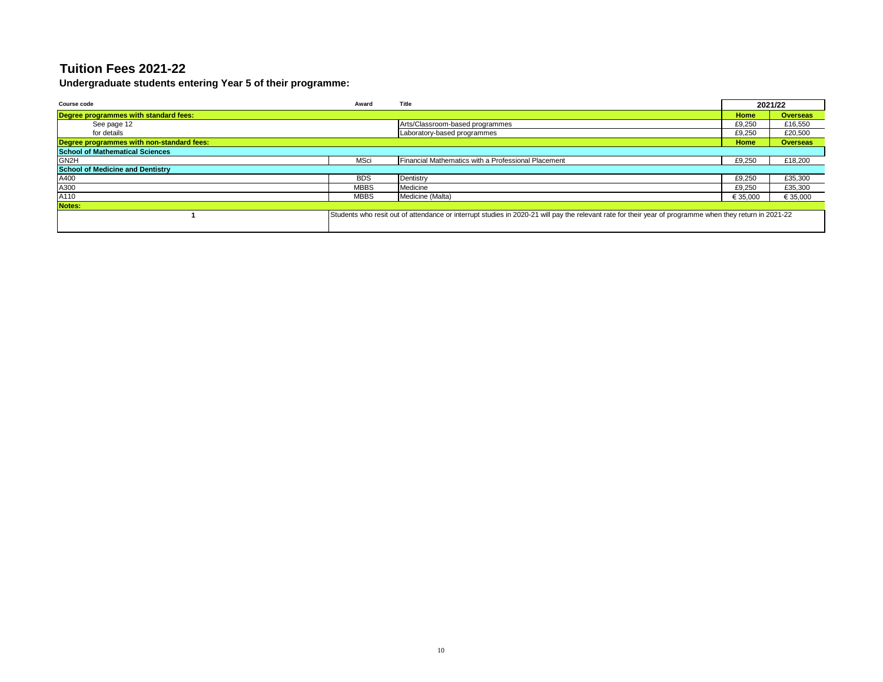**Undergraduate students entering Year 5 of their programme:**

| Course code                               | Award       | Title                                                                                                                                                   |          | 2021/22         |
|-------------------------------------------|-------------|---------------------------------------------------------------------------------------------------------------------------------------------------------|----------|-----------------|
| Degree programmes with standard fees:     |             |                                                                                                                                                         | Home     | <b>Overseas</b> |
| See page 12                               |             | Arts/Classroom-based programmes                                                                                                                         | £9,250   | £16,550         |
| for details                               |             | Laboratory-based programmes                                                                                                                             | £9,250   | £20,500         |
| Degree programmes with non-standard fees: |             |                                                                                                                                                         | Home     | <b>Overseas</b> |
| <b>School of Mathematical Sciences</b>    |             |                                                                                                                                                         |          |                 |
| GN <sub>2H</sub>                          | MSci        | Financial Mathematics with a Professional Placement                                                                                                     | £9,250   | £18,200         |
| <b>School of Medicine and Dentistry</b>   |             |                                                                                                                                                         |          |                 |
| A400                                      | <b>BDS</b>  | Dentistry                                                                                                                                               | £9,250   | £35,300         |
| A300                                      | <b>MBBS</b> | Medicine                                                                                                                                                | £9,250   | £35,300         |
| A110                                      | <b>MBBS</b> | Medicine (Malta)                                                                                                                                        | € 35,000 | € 35,000        |
| Notes:                                    |             |                                                                                                                                                         |          |                 |
|                                           |             | Students who resit out of attendance or interrupt studies in 2020-21 will pay the relevant rate for their year of programme when they return in 2021-22 |          |                 |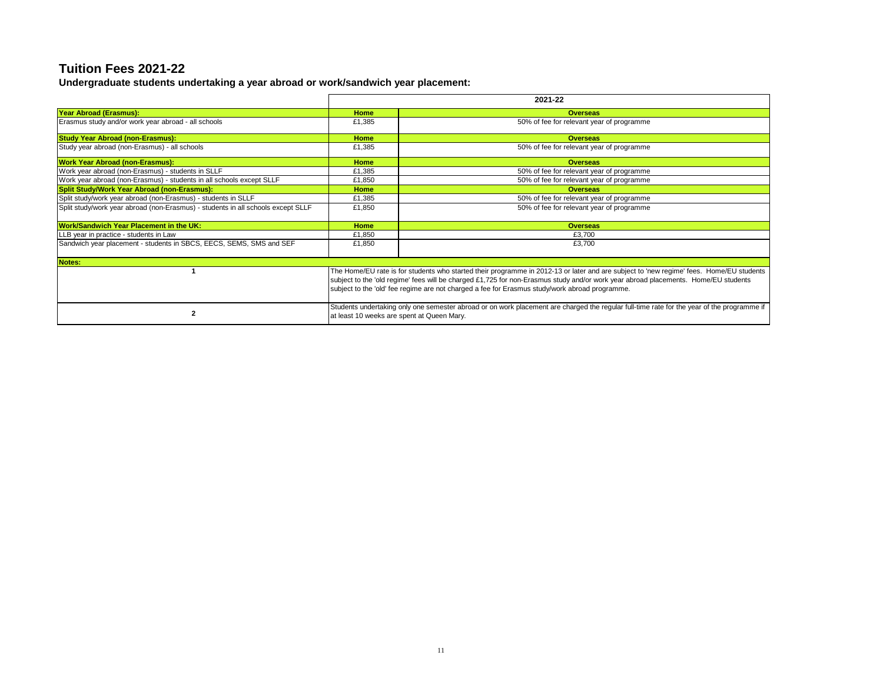**Undergraduate students undertaking a year abroad or work/sandwich year placement:**

|                                                                                  |                                                                                                                                                                                                                                                                                                                                                                                 | 2021-22                                                                                                                                                                                  |  |  |
|----------------------------------------------------------------------------------|---------------------------------------------------------------------------------------------------------------------------------------------------------------------------------------------------------------------------------------------------------------------------------------------------------------------------------------------------------------------------------|------------------------------------------------------------------------------------------------------------------------------------------------------------------------------------------|--|--|
| Year Abroad (Erasmus):                                                           | Home                                                                                                                                                                                                                                                                                                                                                                            | <b>Overseas</b>                                                                                                                                                                          |  |  |
| Erasmus study and/or work year abroad - all schools                              | £1,385                                                                                                                                                                                                                                                                                                                                                                          | 50% of fee for relevant year of programme                                                                                                                                                |  |  |
| <b>Study Year Abroad (non-Erasmus):</b>                                          | <b>Home</b>                                                                                                                                                                                                                                                                                                                                                                     | <b>Overseas</b>                                                                                                                                                                          |  |  |
| Study year abroad (non-Erasmus) - all schools                                    | £1,385                                                                                                                                                                                                                                                                                                                                                                          | 50% of fee for relevant year of programme                                                                                                                                                |  |  |
| <b>Work Year Abroad (non-Erasmus):</b>                                           | Home                                                                                                                                                                                                                                                                                                                                                                            | <b>Overseas</b>                                                                                                                                                                          |  |  |
| Work year abroad (non-Erasmus) - students in SLLF                                | £1,385                                                                                                                                                                                                                                                                                                                                                                          | 50% of fee for relevant year of programme                                                                                                                                                |  |  |
| Work year abroad (non-Erasmus) - students in all schools except SLLF             | £1,850                                                                                                                                                                                                                                                                                                                                                                          | 50% of fee for relevant year of programme                                                                                                                                                |  |  |
| Split Study/Work Year Abroad (non-Erasmus):                                      | <b>Home</b>                                                                                                                                                                                                                                                                                                                                                                     | <b>Overseas</b>                                                                                                                                                                          |  |  |
| Split study/work year abroad (non-Erasmus) - students in SLLF                    | £1,385                                                                                                                                                                                                                                                                                                                                                                          | 50% of fee for relevant year of programme                                                                                                                                                |  |  |
| Split study/work year abroad (non-Erasmus) - students in all schools except SLLF | £1,850                                                                                                                                                                                                                                                                                                                                                                          | 50% of fee for relevant year of programme                                                                                                                                                |  |  |
| Work/Sandwich Year Placement in the UK:                                          | <b>Home</b>                                                                                                                                                                                                                                                                                                                                                                     | <b>Overseas</b>                                                                                                                                                                          |  |  |
| LLB year in practice - students in Law                                           | £1,850                                                                                                                                                                                                                                                                                                                                                                          | £3,700                                                                                                                                                                                   |  |  |
| Sandwich year placement - students in SBCS, EECS, SEMS, SMS and SEF              | £1,850                                                                                                                                                                                                                                                                                                                                                                          | £3,700                                                                                                                                                                                   |  |  |
| Notes:                                                                           |                                                                                                                                                                                                                                                                                                                                                                                 |                                                                                                                                                                                          |  |  |
|                                                                                  | The Home/EU rate is for students who started their programme in 2012-13 or later and are subject to 'new regime' fees. Home/EU students<br>subject to the 'old regime' fees will be charged £1,725 for non-Erasmus study and/or work year abroad placements. Home/EU students<br>subject to the 'old' fee regime are not charged a fee for Erasmus study/work abroad programme. |                                                                                                                                                                                          |  |  |
| $\mathbf{2}$                                                                     |                                                                                                                                                                                                                                                                                                                                                                                 | Students undertaking only one semester abroad or on work placement are charged the regular full-time rate for the year of the programme if<br>at least 10 weeks are spent at Queen Mary. |  |  |